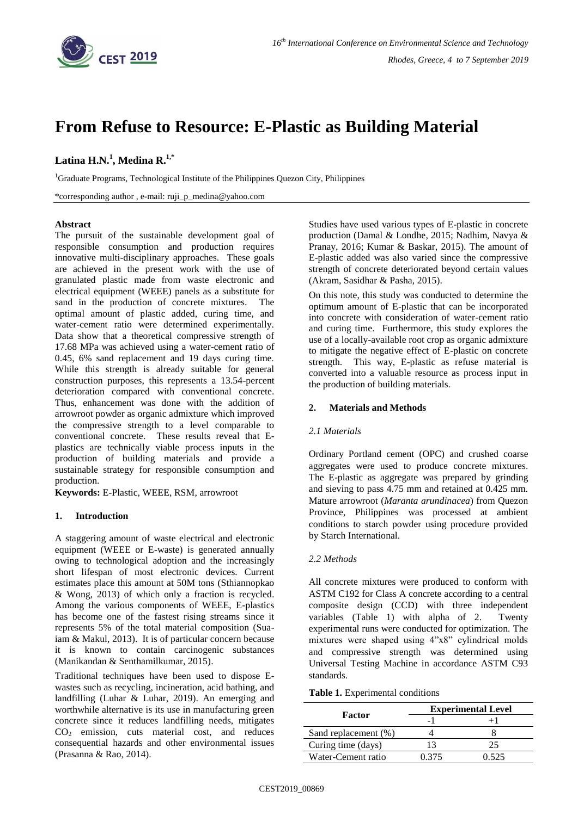

# **From Refuse to Resource: E-Plastic as Building Material**

## **Latina H.N.<sup>1</sup> , Medina R. 1,\***

<sup>1</sup>Graduate Programs, Technological Institute of the Philippines Quezon City, Philippines

\*corresponding author , e-mail: ruji\_p\_medina@yahoo.com

### **Abstract**

The pursuit of the sustainable development goal of responsible consumption and production requires innovative multi-disciplinary approaches. These goals are achieved in the present work with the use of granulated plastic made from waste electronic and electrical equipment (WEEE) panels as a substitute for sand in the production of concrete mixtures. The optimal amount of plastic added, curing time, and water-cement ratio were determined experimentally. Data show that a theoretical compressive strength of 17.68 MPa was achieved using a water-cement ratio of 0.45, 6% sand replacement and 19 days curing time. While this strength is already suitable for general construction purposes, this represents a 13.54-percent deterioration compared with conventional concrete. Thus, enhancement was done with the addition of arrowroot powder as organic admixture which improved the compressive strength to a level comparable to conventional concrete. These results reveal that Eplastics are technically viable process inputs in the production of building materials and provide a sustainable strategy for responsible consumption and production.

**Keywords:** E-Plastic, WEEE, RSM, arrowroot

## **1. Introduction**

A staggering amount of waste electrical and electronic equipment (WEEE or E-waste) is generated annually owing to technological adoption and the increasingly short lifespan of most electronic devices. Current estimates place this amount at 50M tons (Sthiannopkao & Wong, 2013) of which only a fraction is recycled. Among the various components of WEEE, E-plastics has become one of the fastest rising streams since it represents 5% of the total material composition (Suaiam & Makul, 2013). It is of particular concern because it is known to contain carcinogenic substances (Manikandan & Senthamilkumar, 2015).

Traditional techniques have been used to dispose Ewastes such as recycling, incineration, acid bathing, and landfilling (Luhar & Luhar, 2019). An emerging and worthwhile alternative is its use in manufacturing green concrete since it reduces landfilling needs, mitigates CO<sup>2</sup> emission, cuts material cost, and reduces consequential hazards and other environmental issues (Prasanna & Rao, 2014).

Studies have used various types of E-plastic in concrete production (Damal & Londhe, 2015; Nadhim, Navya & Pranay, 2016; Kumar & Baskar, 2015). The amount of E-plastic added was also varied since the compressive strength of concrete deteriorated beyond certain values (Akram, Sasidhar & Pasha, 2015).

On this note, this study was conducted to determine the optimum amount of E-plastic that can be incorporated into concrete with consideration of water-cement ratio and curing time. Furthermore, this study explores the use of a locally-available root crop as organic admixture to mitigate the negative effect of E-plastic on concrete strength. This way, E-plastic as refuse material is converted into a valuable resource as process input in the production of building materials.

## **2. Materials and Methods**

### *2.1 Materials*

Ordinary Portland cement (OPC) and crushed coarse aggregates were used to produce concrete mixtures. The E-plastic as aggregate was prepared by grinding and sieving to pass 4.75 mm and retained at 0.425 mm. Mature arrowroot (*Maranta arundinacea*) from Quezon Province, Philippines was processed at ambient conditions to starch powder using procedure provided by Starch International.

### *2.2 Methods*

All concrete mixtures were produced to conform with ASTM C192 for Class A concrete according to a central composite design (CCD) with three independent variables (Table 1) with alpha of 2. Twenty experimental runs were conducted for optimization. The mixtures were shaped using 4"x8" cylindrical molds and compressive strength was determined using Universal Testing Machine in accordance ASTM C93 standards.

**Table 1.** Experimental conditions

| <b>Factor</b>        | <b>Experimental Level</b> |  |
|----------------------|---------------------------|--|
|                      |                           |  |
| Sand replacement (%) |                           |  |
| Curing time (days)   |                           |  |
| Water-Cement ratio   | በ 375                     |  |